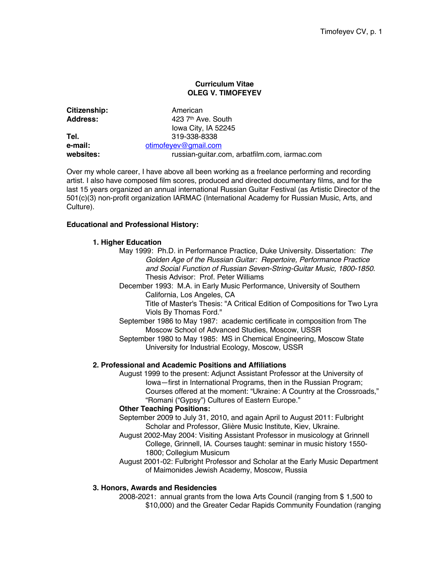### **Curriculum Vitae OLEG V. TIMOFEYEV**

| American                                      |
|-----------------------------------------------|
| 423 7th Ave. South                            |
| lowa City, IA 52245                           |
| 319-338-8338                                  |
| otimofeyev@gmail.com                          |
| russian-guitar.com, arbatfilm.com, iarmac.com |
|                                               |

Over my whole career, I have above all been working as a freelance performing and recording artist. I also have composed film scores, produced and directed documentary films, and for the last 15 years organized an annual international Russian Guitar Festival (as Artistic Director of the 501(c)(3) non-profit organization IARMAC (International Academy for Russian Music, Arts, and Culture).

# **Educational and Professional History:**

## **1. Higher Education**

- May 1999: Ph.D. in Performance Practice, Duke University. Dissertation: *The Golden Age of the Russian Guitar: Repertoire, Performance Practice and Social Function of Russian Seven-String-Guitar Music, 1800-1850*. Thesis Advisor: Prof. Peter Williams
	- December 1993: M.A. in Early Music Performance, University of Southern California, Los Angeles, CA

Title of Master's Thesis: "A Critical Edition of Compositions for Two Lyra Viols By Thomas Ford."

- September 1986 to May 1987: academic certificate in composition from The Moscow School of Advanced Studies, Moscow, USSR
- September 1980 to May 1985: MS in Chemical Engineering, Moscow State University for Industrial Ecology, Moscow, USSR

### **2. Professional and Academic Positions and Affiliations**

August 1999 to the present: Adjunct Assistant Professor at the University of Iowa—first in International Programs, then in the Russian Program; Courses offered at the moment: "Ukraine: A Country at the Crossroads," "Romani ("Gypsy") Cultures of Eastern Europe."

## **Other Teaching Positions:**

- September 2009 to July 31, 2010, and again April to August 2011: Fulbright Scholar and Professor, Glière Music Institute, Kiev, Ukraine.
- August 2002-May 2004: Visiting Assistant Professor in musicology at Grinnell College, Grinnell, IA. Courses taught: seminar in music history 1550- 1800; Collegium Musicum
- August 2001-02: Fulbright Professor and Scholar at the Early Music Department of Maimonides Jewish Academy, Moscow, Russia

### **3. Honors, Awards and Residencies**

2008-2021: annual grants from the Iowa Arts Council (ranging from \$ 1,500 to \$10,000) and the Greater Cedar Rapids Community Foundation (ranging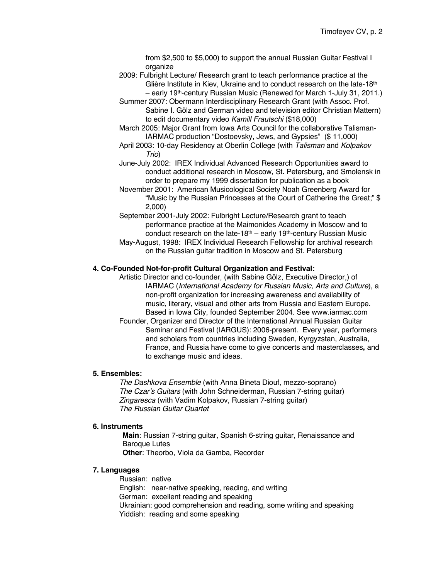from \$2,500 to \$5,000) to support the annual Russian Guitar Festival I organize

- 2009: Fulbright Lecture/ Research grant to teach performance practice at the Glière Institute in Kiev, Ukraine and to conduct research on the late-18<sup>th</sup> – early 19th-century Russian Music (Renewed for March 1-July 31, 2011.)
- Summer 2007: Obermann Interdisciplinary Research Grant (with Assoc. Prof. Sabine I. Gölz and German video and television editor Christian Mattern) to edit documentary video *Kamill Frautschi* (\$18,000)
- March 2005: Major Grant from Iowa Arts Council for the collaborative Talisman-IARMAC production "Dostoevsky, Jews, and Gypsies" (\$ 11,000)
- April 2003: 10-day Residency at Oberlin College (with *Talisman* and *Kolpakov Trio*)
- June-July 2002: IREX Individual Advanced Research Opportunities award to conduct additional research in Moscow, St. Petersburg, and Smolensk in order to prepare my 1999 dissertation for publication as a book
- November 2001: American Musicological Society Noah Greenberg Award for "Music by the Russian Princesses at the Court of Catherine the Great;" \$ 2,000)
- September 2001-July 2002: Fulbright Lecture/Research grant to teach performance practice at the Maimonides Academy in Moscow and to conduct research on the late-18<sup>th</sup> – early 19<sup>th</sup>-century Russian Music
- May-August, 1998: IREX Individual Research Fellowship for archival research on the Russian guitar tradition in Moscow and St. Petersburg

### **4. Co-Founded Not-for-profit Cultural Organization and Festival:**

Artistic Director and co-founder, (with Sabine Gölz, Executive Director,) of IARMAC (*International Academy for Russian Music, Arts and Culture*), a non-profit organization for increasing awareness and availability of music, literary, visual and other arts from Russia and Eastern Europe. Based in Iowa City, founded September 2004. See www.iarmac.com

Founder, Organizer and Director of the International Annual Russian Guitar Seminar and Festival (IARGUS): 2006-present. Every year, performers and scholars from countries including Sweden, Kyrgyzstan, Australia, France, and Russia have come to give concerts and masterclasses**,** and to exchange music and ideas.

## **5. Ensembles:**

*The Dashkova Ensemble* (with Anna Bineta Diouf, mezzo-soprano) *The Czar's Guitars* (with John Schneiderman, Russian 7-string guitar) *Zingaresca* (with Vadim Kolpakov, Russian 7-string guitar) *The Russian Guitar Quartet*

#### **6. Instruments**

**Main**: Russian 7-string guitar, Spanish 6-string guitar, Renaissance and Baroque Lutes

**Other**: Theorbo, Viola da Gamba, Recorder

## **7. Languages**

Russian: native English: near-native speaking, reading, and writing German: excellent reading and speaking Ukrainian: good comprehension and reading, some writing and speaking Yiddish: reading and some speaking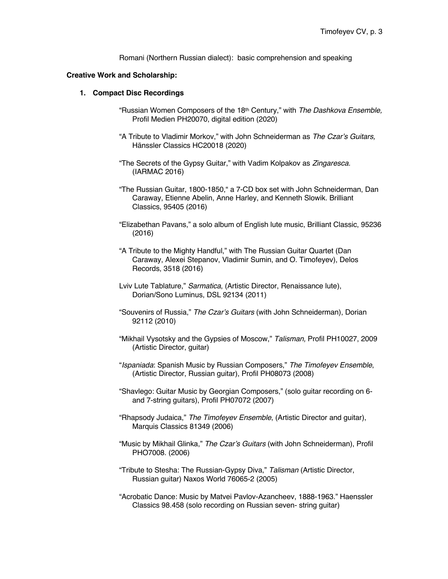Romani (Northern Russian dialect): basic comprehension and speaking

#### **Creative Work and Scholarship:**

#### **1. Compact Disc Recordings**

- "Russian Women Composers of the 18th Century," with *The Dashkova Ensemble,*  Profil Medien PH20070, digital edition (2020)
- "A Tribute to Vladimir Morkov," with John Schneiderman as *The Czar's Guitars,*  Hänssler Classics HC20018 (2020)
- "The Secrets of the Gypsy Guitar," with Vadim Kolpakov as *Zingaresca.*  (IARMAC 2016)
- "The Russian Guitar, 1800-1850," a 7-CD box set with John Schneiderman, Dan Caraway, Etienne Abelin, Anne Harley, and Kenneth Slowik. Brilliant Classics, 95405 (2016)
- "Elizabethan Pavans," a solo album of English lute music, Brilliant Classic, 95236 (2016)
- "A Tribute to the Mighty Handful," with The Russian Guitar Quartet (Dan Caraway, Alexei Stepanov, Vladimir Sumin, and O. Timofeyev), Delos Records, 3518 (2016)
- Lviv Lute Tablature," *Sarmatica*, (Artistic Director, Renaissance lute), Dorian/Sono Luminus, DSL 92134 (2011)
- "Souvenirs of Russia," *The Czar's Guitars* (with John Schneiderman), Dorian 92112 (2010)
- "Mikhail Vysotsky and the Gypsies of Moscow," *Talisman,* Profil PH10027, 2009 (Artistic Director, guitar)
- "*Ispaniada*: Spanish Music by Russian Composers," *The Timofeyev Ensemble*, (Artistic Director, Russian guitar), Profil PH08073 (2008)
- "Shavlego: Guitar Music by Georgian Composers," (solo guitar recording on 6 and 7-string guitars), Profil PH07072 (2007)
- "Rhapsody Judaica," *The Timofeyev Ensemble*, (Artistic Director and guitar), Marquis Classics 81349 (2006)
- "Music by Mikhail Glinka," *The Czar's Guitars* (with John Schneiderman), Profil PHO7008. (2006)
- "Tribute to Stesha: The Russian-Gypsy Diva," *Talisman* (Artistic Director, Russian guitar) Naxos World 76065-2 (2005)
- "Acrobatic Dance: Music by Matvei Pavlov-Azancheev, 1888-1963." Haenssler Classics 98.458 (solo recording on Russian seven- string guitar)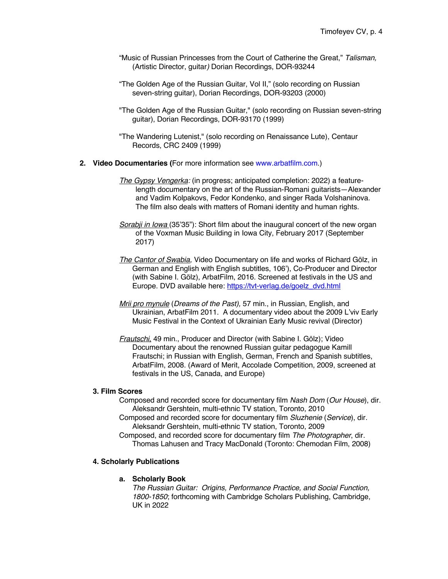- "Music of Russian Princesses from the Court of Catherine the Great," *Talisman,*  (Artistic Director, guitar*)* Dorian Recordings, DOR-93244
- "The Golden Age of the Russian Guitar, Vol II," (solo recording on Russian seven-string guitar), Dorian Recordings, DOR-93203 (2000)
- "The Golden Age of the Russian Guitar," (solo recording on Russian seven-string guitar), Dorian Recordings, DOR-93170 (1999)
- "The Wandering Lutenist," (solo recording on Renaissance Lute), Centaur Records, CRC 2409 (1999)
- **2. Video Documentaries (**For more information see www.arbatfilm.com.)
	- *The Gypsy Vengerka:* (in progress; anticipated completion: 2022) a featurelength documentary on the art of the Russian-Romani guitarists—Alexander and Vadim Kolpakovs, Fedor Kondenko, and singer Rada Volshaninova. The film also deals with matters of Romani identity and human rights.
	- *Sorabji in Iowa* (35'35"): Short film about the inaugural concert of the new organ of the Voxman Music Building in Iowa City, February 2017 (September 2017)
	- *The Cantor of Swabia,* Video Documentary on life and works of Richard Gölz, in German and English with English subtitles, 106'), Co-Producer and Director (with Sabine I. Gölz), ArbatFilm, 2016. Screened at festivals in the US and Europe. DVD available here: https://tvt-verlag.de/goelz\_dvd.html
	- *Mrii pro mynule* (*Dreams of the Past),* 57 min., in Russian, English, and Ukrainian, ArbatFilm 2011. A documentary video about the 2009 L'viv Early Music Festival in the Context of Ukrainian Early Music revival (Director)
	- *Frautschi*, 49 min., Producer and Director (with Sabine I. Gölz); Video Documentary about the renowned Russian guitar pedagogue Kamill Frautschi; in Russian with English, German, French and Spanish subtitles, ArbatFilm, 2008. (Award of Merit, Accolade Competition, 2009, screened at festivals in the US, Canada, and Europe)

#### **3. Film Scores**

- Composed and recorded score for documentary film *Nash Dom* (*Our House*), dir. Aleksandr Gershtein, multi-ethnic TV station, Toronto, 2010
- Composed and recorded score for documentary film *Sluzhenie* (*Service*), dir. Aleksandr Gershtein, multi-ethnic TV station, Toronto, 2009
- Composed, and recorded score for documentary film *The Photographer*, dir. Thomas Lahusen and Tracy MacDonald (Toronto: Chemodan Film, 2008)

#### **4. Scholarly Publications**

#### **a. Scholarly Book**

*The Russian Guitar: Origins, Performance Practice, and Social Function, 1800-1850*; forthcoming with Cambridge Scholars Publishing, Cambridge, UK in 2022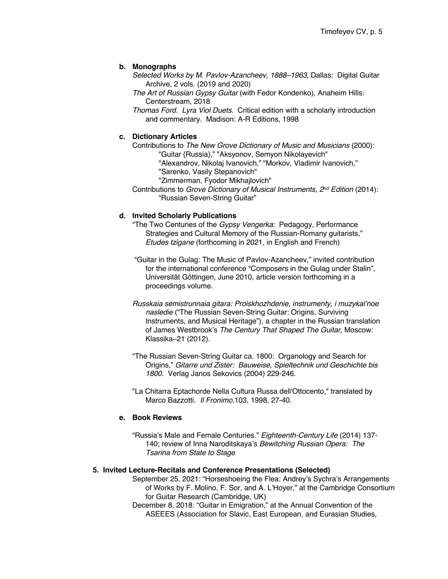## **b. Monographs**

- *Selected Works by M. Pavlov-Azancheev, 1888–1963,* Dallas: Digital Guitar Archive, 2 vols. (2019 and 2020)
- *The Art of Russian Gypsy Guitar* (with Fedor Kondenko), Anaheim Hills: Centerstream, 2018
- *Thomas Ford. Lyra Viol Duets.* Critical edition with a scholarly introduction and commentary. Madison: A-R Editions, 1998

## **c. Dictionary Articles**

Contributions to *The New Grove Dictionary of Music and Musicians* (2000): "Guitar {Russia}," "Aksyonov, Semyon Nikolayevich" "Alexandrov, Nikolaj Ivanovich," "Morkov, Vladimir Ivanovich," "Sarenko, Vasily Stepanovich" "Zimmerman, Fyodor Mikhajlovich"

Contributions to *Grove Dictionary of Musical Instruments, 2nd Edition* (2014): "Russian Seven-String Guitar"

## **d. Invited Scholarly Publications**

- "The Two Centuries of the *Gypsy Vengerka*: Pedagogy, Performance Strategies and Cultural Memory of the Russian-Romany guitarists," *Etudes tzigane* (forthcoming in 2021, in English and French)
- "Guitar in the Gulag: The Music of Pavlov-Azancheev," invited contribution for the international conference "Composers in the Gulag under Stalin", Universität Göttingen, June 2010, article version forthcoming in a proceedings volume.
- *Russkaia semistrunnaia gitara: Proiskhozhdenie, instrumenty, i muzykal'noe nasledie* ("The Russian Seven-String Guitar: Origins, Surviving Instruments, and Musical Heritage"), a chapter in the Russian translation of James Westbrook's *The Century That Shaped The Guitar*, Moscow: Klassika–21 (2012).
- "The Russian Seven-String Guitar ca. 1800: Organology and Search for Origins," *Gitarre und Zister: Bauweise, Spieltechnik und Geschichte bis 1800.* Verlag Janos Sekovics (2004) 229-246.
- "La Chitarra Eptachorde Nella Cultura Russa dell'Ottocento," translated by Marco Bazzotti. *Il Fronimo*,103, 1998, 27-40.

### **e. Book Reviews**

"Russia's Male and Female Centuries." *Eighteenth-Century Life* (2014) 137- 140; review of Inna Naroditskaya's *Bewitching Russian Opera: The Tsarina from State to Stage*

# **5. Invited Lecture-Recitals and Conference Presentations (Selected)**

- September 25, 2021: "Horseshoeing the Flea: Andrey's Sychra's Arrangements of Works by F. Molino, F. Sor, and A. L'Hoyer," at the Cambridge Consortium for Guitar Research (Cambridge, UK)
- December 8, 2018: "Guitar in Emigration," at the Annual Convention of the ASEEES (Association for Slavic, East European, and Eurasian Studies,